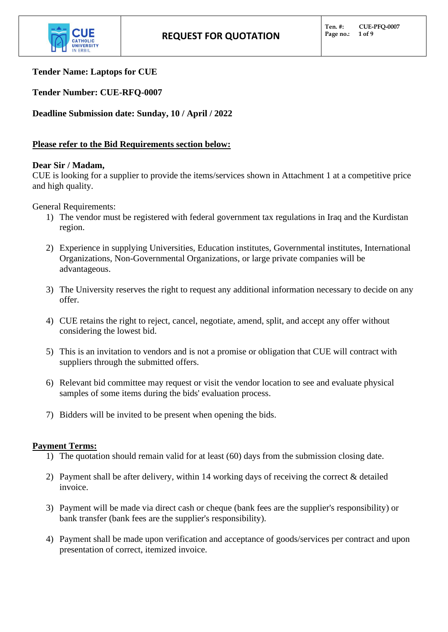

# **Tender Name: Laptops for CUE**

**Tender Number: CUE-RFQ-0007**

**Deadline Submission date: Sunday, 10 / April / 2022**

# **Please refer to the Bid Requirements section below:**

# **Dear Sir / Madam,**

CUE is looking for a supplier to provide the items/services shown in Attachment 1 at a competitive price and high quality.

General Requirements:

- 1) The vendor must be registered with federal government tax regulations in Iraq and the Kurdistan region.
- 2) Experience in supplying Universities, Education institutes, Governmental institutes, International Organizations, Non-Governmental Organizations, or large private companies will be advantageous.
- 3) The University reserves the right to request any additional information necessary to decide on any offer.
- 4) CUE retains the right to reject, cancel, negotiate, amend, split, and accept any offer without considering the lowest bid.
- 5) This is an invitation to vendors and is not a promise or obligation that CUE will contract with suppliers through the submitted offers.
- 6) Relevant bid committee may request or visit the vendor location to see and evaluate physical samples of some items during the bids' evaluation process.
- 7) Bidders will be invited to be present when opening the bids.

# **Payment Terms:**

- 1) The quotation should remain valid for at least (60) days from the submission closing date.
- 2) Payment shall be after delivery, within 14 working days of receiving the correct & detailed invoice.
- 3) Payment will be made via direct cash or cheque (bank fees are the supplier's responsibility) or bank transfer (bank fees are the supplier's responsibility).
- 4) Payment shall be made upon verification and acceptance of goods/services per contract and upon presentation of correct, itemized invoice.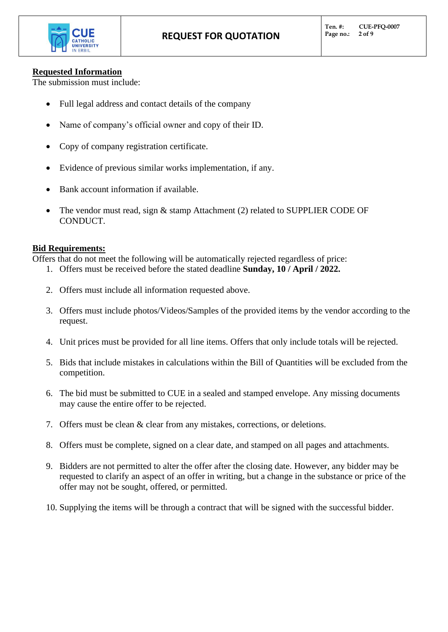

# **Requested Information**

The submission must include:

- Full legal address and contact details of the company
- Name of company's official owner and copy of their ID.
- Copy of company registration certificate.
- Evidence of previous similar works implementation, if any.
- Bank account information if available.
- The vendor must read, sign  $&$  stamp Attachment (2) related to SUPPLIER CODE OF CONDUCT.

# **Bid Requirements:**

Offers that do not meet the following will be automatically rejected regardless of price:

- 1. Offers must be received before the stated deadline **Sunday, 10 / April / 2022.**
- 2. Offers must include all information requested above.
- 3. Offers must include photos/Videos/Samples of the provided items by the vendor according to the request.
- 4. Unit prices must be provided for all line items. Offers that only include totals will be rejected.
- 5. Bids that include mistakes in calculations within the Bill of Quantities will be excluded from the competition.
- 6. The bid must be submitted to CUE in a sealed and stamped envelope. Any missing documents may cause the entire offer to be rejected.
- 7. Offers must be clean & clear from any mistakes, corrections, or deletions.
- 8. Offers must be complete, signed on a clear date, and stamped on all pages and attachments.
- 9. Bidders are not permitted to alter the offer after the closing date. However, any bidder may be requested to clarify an aspect of an offer in writing, but a change in the substance or price of the offer may not be sought, offered, or permitted.
- 10. Supplying the items will be through a contract that will be signed with the successful bidder.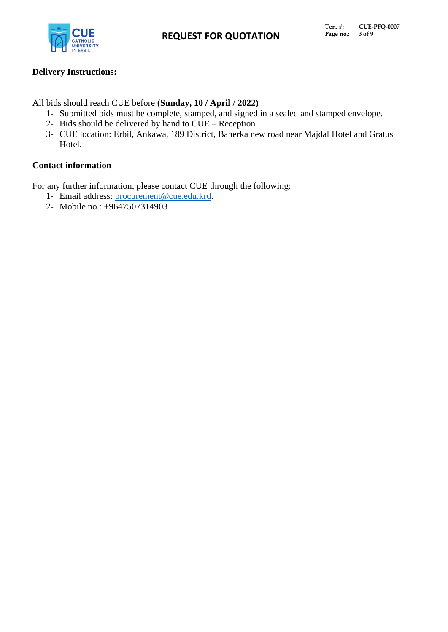

# **Delivery Instructions:**

All bids should reach CUE before **(Sunday, 10 / April / 2022)**

- 1- Submitted bids must be complete, stamped, and signed in a sealed and stamped envelope.
- 2- Bids should be delivered by hand to CUE Reception
- 3- CUE location: Erbil, Ankawa, 189 District, Baherka new road near Majdal Hotel and Gratus Hotel.

# **Contact information**

For any further information, please contact CUE through the following:

- 1- Email address: [procurement@cue.edu.krd.](mailto:procurement@cue.edu.krd)
- 2- Mobile no.: +9647507314903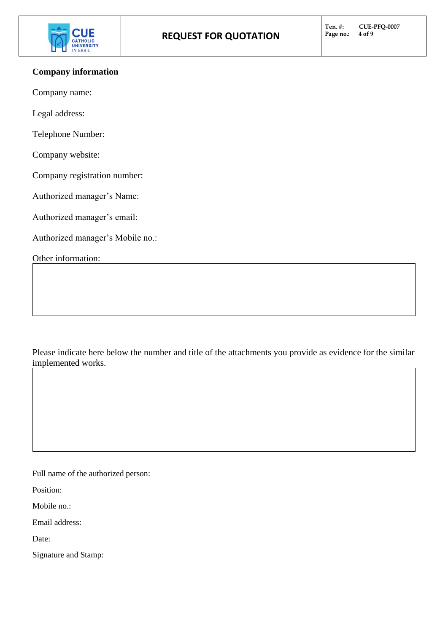

# **Company information**

Company name:

Legal address:

Telephone Number:

Company website:

Company registration number:

Authorized manager's Name:

Authorized manager's email:

Authorized manager's Mobile no.:

Other information:

Please indicate here below the number and title of the attachments you provide as evidence for the similar implemented works.

Full name of the authorized person:

Position:

Mobile no.:

Email address:

Date:

Signature and Stamp: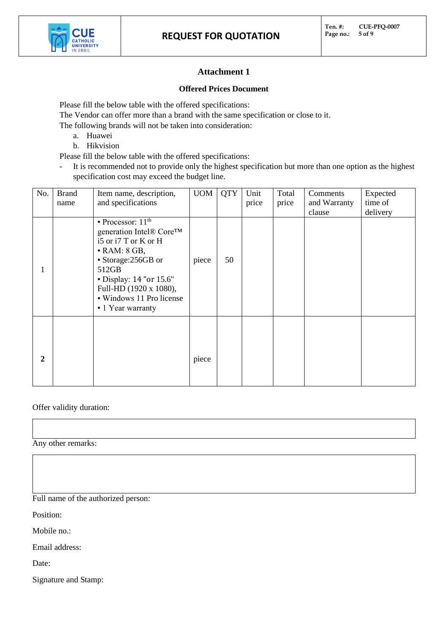

# **Attachment 1**

### **Offered Prices Document**

Please fill the below table with the offered specifications:

The Vendor can offer more than a brand with the same specification or close to it.

The following brands will not be taken into consideration:

- a. Huawei
- b. Hikvision
- Please fill the below table with the offered specifications:
- It is recommended not to provide only the highest specification but more than one option as the highest specification cost may exceed the budget line.

| No.         | <b>Brand</b><br>name | Item name, description,<br>and specifications                                                                                                                                                                                                                      | <b>UOM</b> | <b>QTY</b> | Unit<br>price | Total<br>price | Comments<br>and Warranty | Expected<br>time of |
|-------------|----------------------|--------------------------------------------------------------------------------------------------------------------------------------------------------------------------------------------------------------------------------------------------------------------|------------|------------|---------------|----------------|--------------------------|---------------------|
|             |                      |                                                                                                                                                                                                                                                                    |            |            |               |                | clause                   | delivery            |
|             |                      | $\blacksquare$ Processor: 11 <sup>th</sup><br>generation Intel® Core™<br>i5 or i7 T or K or H<br>$\bullet$ RAM: 8 GB,<br>• Storage:256GB or<br>512GB<br>$\bullet$ Display: 14 "or 15.6"<br>Full-HD (1920 x 1080),<br>• Windows 11 Pro license<br>• 1 Year warranty | piece      | 50         |               |                |                          |                     |
| $\mathbf 2$ |                      |                                                                                                                                                                                                                                                                    | piece      |            |               |                |                          |                     |

## Offer validity duration:

Any other remarks:

Full name of the authorized person:

Position:

Mobile no.:

Email address:

Date:

Signature and Stamp: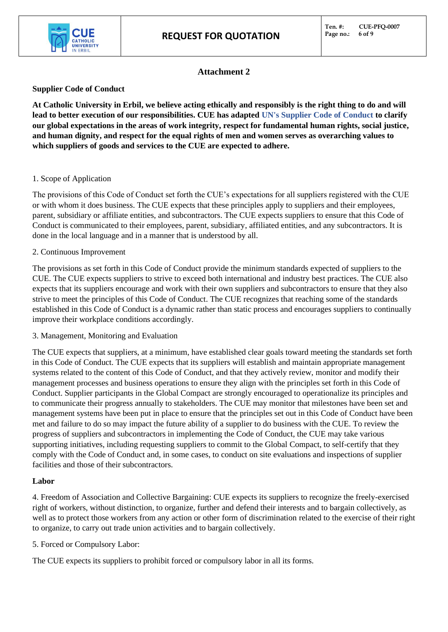

# **Attachment 2**

## **Supplier Code of Conduct**

**At Catholic University in Erbil, we believe acting ethically and responsibly is the right thing to do and will lead to better execution of our responsibilities. CUE has adapted UN's Supplier Code of Conduct to clarify our global expectations in the areas of work integrity, respect for fundamental human rights, social justice, and human dignity, and respect for the equal rights of men and women serves as overarching values to which suppliers of goods and services to the CUE are expected to adhere.** 

## 1. Scope of Application

The provisions of this Code of Conduct set forth the CUE's expectations for all suppliers registered with the CUE or with whom it does business. The CUE expects that these principles apply to suppliers and their employees, parent, subsidiary or affiliate entities, and subcontractors. The CUE expects suppliers to ensure that this Code of Conduct is communicated to their employees, parent, subsidiary, affiliated entities, and any subcontractors. It is done in the local language and in a manner that is understood by all.

## 2. Continuous Improvement

The provisions as set forth in this Code of Conduct provide the minimum standards expected of suppliers to the CUE. The CUE expects suppliers to strive to exceed both international and industry best practices. The CUE also expects that its suppliers encourage and work with their own suppliers and subcontractors to ensure that they also strive to meet the principles of this Code of Conduct. The CUE recognizes that reaching some of the standards established in this Code of Conduct is a dynamic rather than static process and encourages suppliers to continually improve their workplace conditions accordingly.

3. Management, Monitoring and Evaluation

The CUE expects that suppliers, at a minimum, have established clear goals toward meeting the standards set forth in this Code of Conduct. The CUE expects that its suppliers will establish and maintain appropriate management systems related to the content of this Code of Conduct, and that they actively review, monitor and modify their management processes and business operations to ensure they align with the principles set forth in this Code of Conduct. Supplier participants in the Global Compact are strongly encouraged to operationalize its principles and to communicate their progress annually to stakeholders. The CUE may monitor that milestones have been set and management systems have been put in place to ensure that the principles set out in this Code of Conduct have been met and failure to do so may impact the future ability of a supplier to do business with the CUE. To review the progress of suppliers and subcontractors in implementing the Code of Conduct, the CUE may take various supporting initiatives, including requesting suppliers to commit to the Global Compact, to self-certify that they comply with the Code of Conduct and, in some cases, to conduct on site evaluations and inspections of supplier facilities and those of their subcontractors.

## **Labor**

4. Freedom of Association and Collective Bargaining: CUE expects its suppliers to recognize the freely-exercised right of workers, without distinction, to organize, further and defend their interests and to bargain collectively, as well as to protect those workers from any action or other form of discrimination related to the exercise of their right to organize, to carry out trade union activities and to bargain collectively.

5. Forced or Compulsory Labor:

The CUE expects its suppliers to prohibit forced or compulsory labor in all its forms.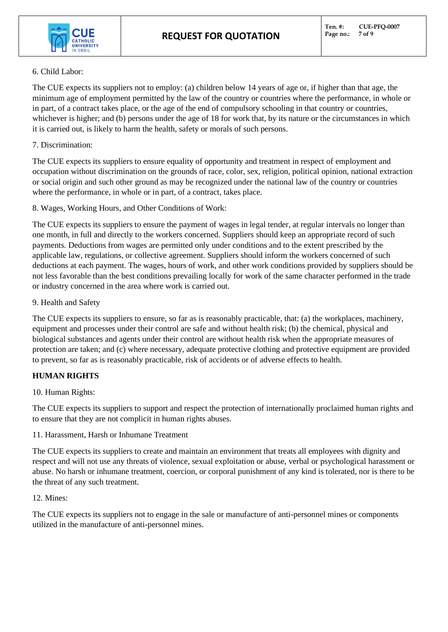

### 6. Child Labor:

The CUE expects its suppliers not to employ: (a) children below 14 years of age or, if higher than that age, the minimum age of employment permitted by the law of the country or countries where the performance, in whole or in part, of a contract takes place, or the age of the end of compulsory schooling in that country or countries, whichever is higher; and (b) persons under the age of 18 for work that, by its nature or the circumstances in which it is carried out, is likely to harm the health, safety or morals of such persons.

## 7. Discrimination:

The CUE expects its suppliers to ensure equality of opportunity and treatment in respect of employment and occupation without discrimination on the grounds of race, color, sex, religion, political opinion, national extraction or social origin and such other ground as may be recognized under the national law of the country or countries where the performance, in whole or in part, of a contract, takes place.

8. Wages, Working Hours, and Other Conditions of Work:

The CUE expects its suppliers to ensure the payment of wages in legal tender, at regular intervals no longer than one month, in full and directly to the workers concerned. Suppliers should keep an appropriate record of such payments. Deductions from wages are permitted only under conditions and to the extent prescribed by the applicable law, regulations, or collective agreement. Suppliers should inform the workers concerned of such deductions at each payment. The wages, hours of work, and other work conditions provided by suppliers should be not less favorable than the best conditions prevailing locally for work of the same character performed in the trade or industry concerned in the area where work is carried out.

## 9. Health and Safety

The CUE expects its suppliers to ensure, so far as is reasonably practicable, that: (a) the workplaces, machinery, equipment and processes under their control are safe and without health risk; (b) the chemical, physical and biological substances and agents under their control are without health risk when the appropriate measures of protection are taken; and (c) where necessary, adequate protective clothing and protective equipment are provided to prevent, so far as is reasonably practicable, risk of accidents or of adverse effects to health.

# **HUMAN RIGHTS**

## 10. Human Rights:

The CUE expects its suppliers to support and respect the protection of internationally proclaimed human rights and to ensure that they are not complicit in human rights abuses.

11. Harassment, Harsh or Inhumane Treatment

The CUE expects its suppliers to create and maintain an environment that treats all employees with dignity and respect and will not use any threats of violence, sexual exploitation or abuse, verbal or psychological harassment or abuse. No harsh or inhumane treatment, coercion, or corporal punishment of any kind is tolerated, nor is there to be the threat of any such treatment.

## 12. Mines:

The CUE expects its suppliers not to engage in the sale or manufacture of anti-personnel mines or components utilized in the manufacture of anti-personnel mines.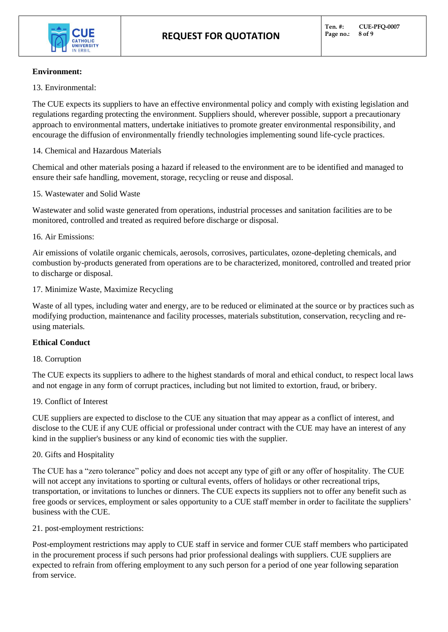

### **Environment:**

13. Environmental:

The CUE expects its suppliers to have an effective environmental policy and comply with existing legislation and regulations regarding protecting the environment. Suppliers should, wherever possible, support a precautionary approach to environmental matters, undertake initiatives to promote greater environmental responsibility, and encourage the diffusion of environmentally friendly technologies implementing sound life-cycle practices.

14. Chemical and Hazardous Materials

Chemical and other materials posing a hazard if released to the environment are to be identified and managed to ensure their safe handling, movement, storage, recycling or reuse and disposal.

#### 15. Wastewater and Solid Waste

Wastewater and solid waste generated from operations, industrial processes and sanitation facilities are to be monitored, controlled and treated as required before discharge or disposal.

#### 16. Air Emissions:

Air emissions of volatile organic chemicals, aerosols, corrosives, particulates, ozone-depleting chemicals, and combustion by-products generated from operations are to be characterized, monitored, controlled and treated prior to discharge or disposal.

#### 17. Minimize Waste, Maximize Recycling

Waste of all types, including water and energy, are to be reduced or eliminated at the source or by practices such as modifying production, maintenance and facility processes, materials substitution, conservation, recycling and reusing materials.

## **Ethical Conduct**

#### 18. Corruption

The CUE expects its suppliers to adhere to the highest standards of moral and ethical conduct, to respect local laws and not engage in any form of corrupt practices, including but not limited to extortion, fraud, or bribery.

#### 19. Conflict of Interest

CUE suppliers are expected to disclose to the CUE any situation that may appear as a conflict of interest, and disclose to the CUE if any CUE official or professional under contract with the CUE may have an interest of any kind in the supplier's business or any kind of economic ties with the supplier.

#### 20. Gifts and Hospitality

The CUE has a "zero tolerance" policy and does not accept any type of gift or any offer of hospitality. The CUE will not accept any invitations to sporting or cultural events, offers of holidays or other recreational trips, transportation, or invitations to lunches or dinners. The CUE expects its suppliers not to offer any benefit such as free goods or services, employment or sales opportunity to a CUE staff member in order to facilitate the suppliers' business with the CUE.

21. post-employment restrictions:

Post-employment restrictions may apply to CUE staff in service and former CUE staff members who participated in the procurement process if such persons had prior professional dealings with suppliers. CUE suppliers are expected to refrain from offering employment to any such person for a period of one year following separation from service.